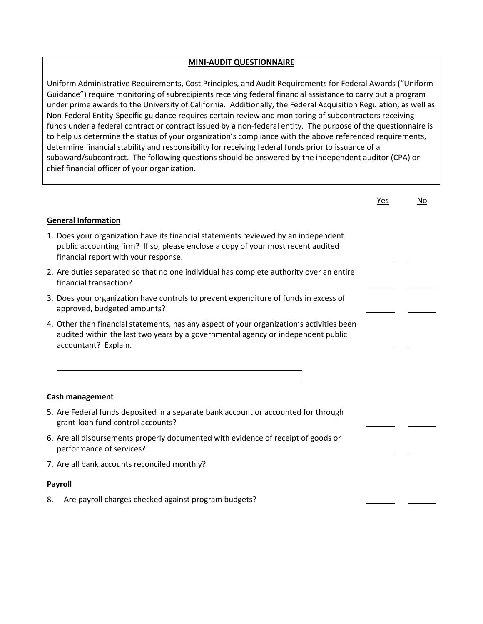## **MINI-AUDIT QUESTIONNAIRE**

Uniform Administrative Requirements, Cost Principles, and Audit Requirements for Federal Awards ("Uniform Guidance") require monitoring of subrecipients receiving federal financial assistance to carry out a program under prime awards to the University of California. Additionally, the Federal Acquisition Regulation, as well as Non-Federal Entity-Specific guidance requires certain review and monitoring of subcontractors receiving funds under a federal contract or contract issued by a non-federal entity. The purpose of the questionnaire is to help us determine the status of your organization's compliance with the above referenced requirements, determine financial stability and responsibility for receiving federal funds prior to issuance of a subaward/subcontract. The following questions should be answered by the independent auditor (CPA) or chief financial officer of your organization.

|                                                                                                                                                                                                                | Yes | No |  |  |  |
|----------------------------------------------------------------------------------------------------------------------------------------------------------------------------------------------------------------|-----|----|--|--|--|
| <b>General Information</b>                                                                                                                                                                                     |     |    |  |  |  |
| 1. Does your organization have its financial statements reviewed by an independent<br>public accounting firm? If so, please enclose a copy of your most recent audited<br>financial report with your response. |     |    |  |  |  |
| 2. Are duties separated so that no one individual has complete authority over an entire<br>financial transaction?                                                                                              |     |    |  |  |  |
| 3. Does your organization have controls to prevent expenditure of funds in excess of<br>approved, budgeted amounts?                                                                                            |     |    |  |  |  |
| 4. Other than financial statements, has any aspect of your organization's activities been<br>audited within the last two years by a governmental agency or independent public<br>accountant? Explain.          |     |    |  |  |  |
|                                                                                                                                                                                                                |     |    |  |  |  |
| <b>Cash management</b>                                                                                                                                                                                         |     |    |  |  |  |
| 5. Are Federal funds deposited in a separate bank account or accounted for through<br>grant-loan fund control accounts?                                                                                        |     |    |  |  |  |
| 6. Are all disbursements properly documented with evidence of receipt of goods or<br>performance of services?                                                                                                  |     |    |  |  |  |
| 7. Are all bank accounts reconciled monthly?                                                                                                                                                                   |     |    |  |  |  |
| <b>Payroll</b>                                                                                                                                                                                                 |     |    |  |  |  |
| Are payroll charges checked against program budgets?<br>8.                                                                                                                                                     |     |    |  |  |  |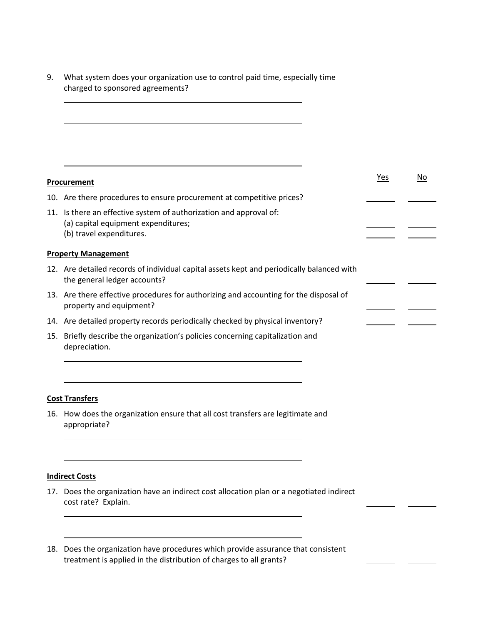9. What system does your organization use to control paid time, especially time charged to sponsored agreements?

|     | Procurement                                                                                                                           | Yes | No |
|-----|---------------------------------------------------------------------------------------------------------------------------------------|-----|----|
|     | 10. Are there procedures to ensure procurement at competitive prices?                                                                 |     |    |
|     | 11. Is there an effective system of authorization and approval of:<br>(a) capital equipment expenditures;<br>(b) travel expenditures. |     |    |
|     | <b>Property Management</b>                                                                                                            |     |    |
|     | 12. Are detailed records of individual capital assets kept and periodically balanced with<br>the general ledger accounts?             |     |    |
|     | 13. Are there effective procedures for authorizing and accounting for the disposal of<br>property and equipment?                      |     |    |
|     | 14. Are detailed property records periodically checked by physical inventory?                                                         |     |    |
| 15. | Briefly describe the organization's policies concerning capitalization and<br>depreciation.                                           |     |    |
|     |                                                                                                                                       |     |    |
|     |                                                                                                                                       |     |    |

## **Cost Transfers**

 $\overline{a}$ 

16. How does the organization ensure that all cost transfers are legitimate and appropriate?

## **Indirect Costs**

 $\overline{a}$ 

L

L

 $\overline{\phantom{0}}$ 

17. Does the organization have an indirect cost allocation plan or a negotiated indirect cost rate? Explain.

 $\overline{a}$ 

18. Does the organization have procedures which provide assurance that consistent treatment is applied in the distribution of charges to all grants?